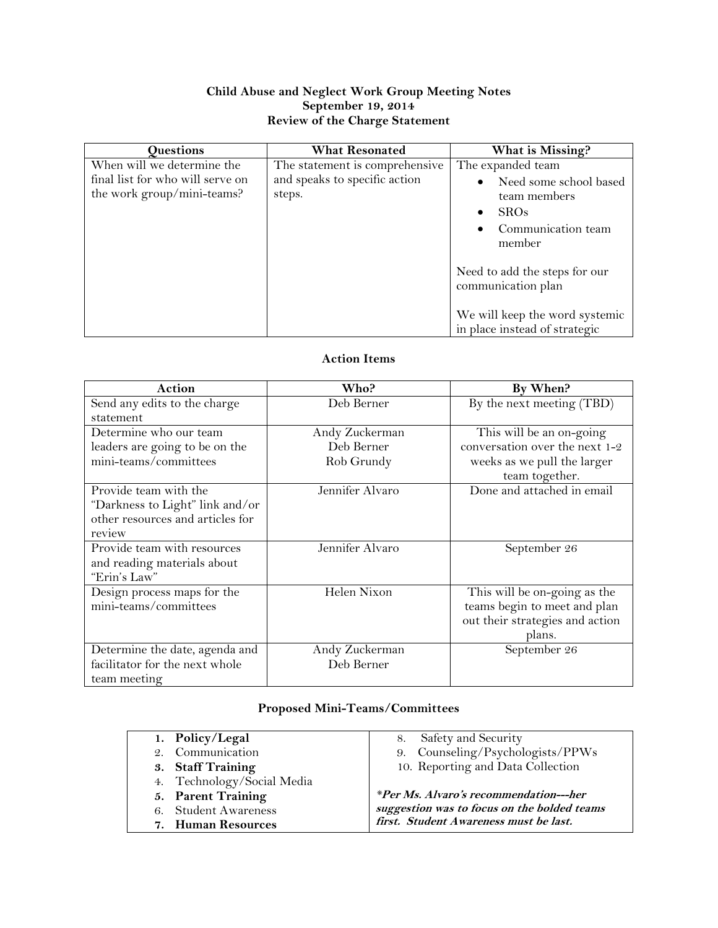## **Child Abuse and Neglect Work Group Meeting Notes September 19, 2014 Review of the Charge Statement**

| <b>Questions</b>                 | <b>What Resonated</b>           | What is Missing?               |
|----------------------------------|---------------------------------|--------------------------------|
| When will we determine the       | The statement is comprehensive. | The expanded team              |
| final list for who will serve on | and speaks to specific action   | Need some school based         |
| the work group/mini-teams?       | steps.                          | team members                   |
|                                  |                                 | <b>SROs</b>                    |
|                                  |                                 | Communication team             |
|                                  |                                 | member                         |
|                                  |                                 |                                |
|                                  |                                 | Need to add the steps for our  |
|                                  |                                 | communication plan             |
|                                  |                                 |                                |
|                                  |                                 | We will keep the word systemic |
|                                  |                                 | in place instead of strategic  |

## **Action Items**

| Action                           | Who?            | By When?                        |
|----------------------------------|-----------------|---------------------------------|
| Send any edits to the charge     | Deb Berner      | By the next meeting $(TBD)$     |
| statement                        |                 |                                 |
| Determine who our team           | Andy Zuckerman  | This will be an on-going        |
| leaders are going to be on the   | Deb Berner      | conversation over the next 1-2  |
| mini-teams/committees            | Rob Grundy      | weeks as we pull the larger     |
|                                  |                 | team together.                  |
| Provide team with the            | Jennifer Alvaro | Done and attached in email      |
| "Darkness to Light" link and/or  |                 |                                 |
| other resources and articles for |                 |                                 |
| review                           |                 |                                 |
| Provide team with resources      | Jennifer Alvaro | September 26                    |
| and reading materials about      |                 |                                 |
| "Erin's Law"                     |                 |                                 |
| Design process maps for the      | Helen Nixon     | This will be on-going as the    |
| mini-teams/committees            |                 | teams begin to meet and plan    |
|                                  |                 | out their strategies and action |
|                                  |                 | plans.                          |
| Determine the date, agenda and   | Andy Zuckerman  | September 26                    |
| facilitator for the next whole   | Deb Berner      |                                 |
| team meeting                     |                 |                                 |

## **Proposed Mini-Teams/Committees**

| 1. Policy/Legal            | 8. Safety and Security                      |
|----------------------------|---------------------------------------------|
| 2. Communication           | 9. Counseling/Psychologists/PPWs            |
| 3. Staff Training          | 10. Reporting and Data Collection           |
| 4. Technology/Social Media |                                             |
| 5. Parent Training         | *Per Ms. Alvaro's recommendation---her      |
| 6. Student Awareness       | suggestion was to focus on the bolded teams |
| 7. Human Resources         | first. Student Awareness must be last.      |